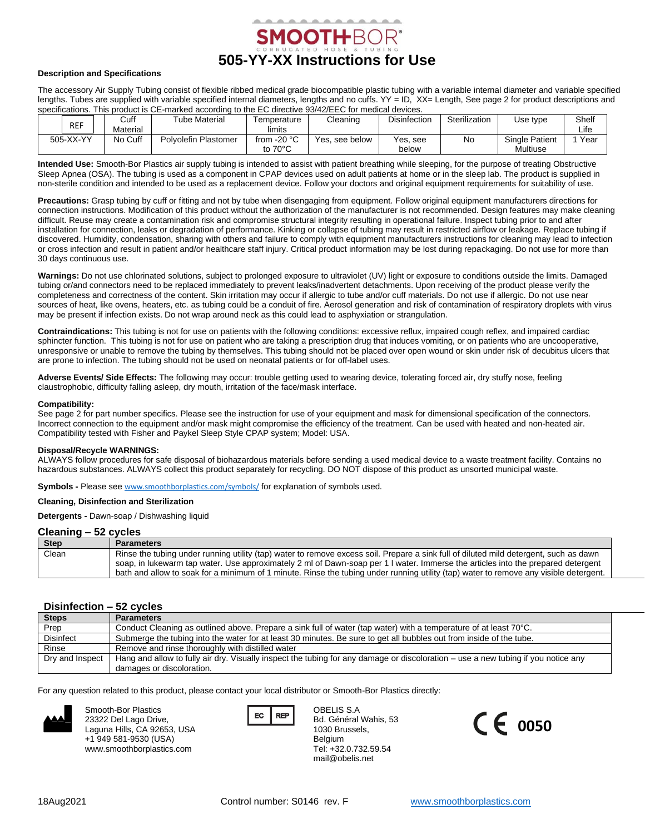

# **Description and Specifications**

The accessory Air Supply Tubing consist of flexible ribbed medical grade biocompatible plastic tubing with a variable internal diameter and variable specified lengths. Tubes are supplied with variable specified internal diameters, lengths and no cuffs. YY = ID, XX= Length, See page 2 for product descriptions and specifications. This product is CE-marked according to the EC directive 93/42/EEC for medical devices.

| <b>REF</b> | Cuff<br>Material | Tube Material        | Femperature<br>limits              | Cleaning       | <b>Disinfection</b> | Sterilization | Use type                          | Shelf<br>Life |
|------------|------------------|----------------------|------------------------------------|----------------|---------------------|---------------|-----------------------------------|---------------|
| 505-XX-YY  | No Cuff          | Polvolefin Plastomer | from $-20$ °C<br>to $70^{\circ}$ C | Yes, see below | Yes. see<br>below   | Nc            | <b>Single Patient</b><br>Multiuse | Year          |

**Intended Use:** Smooth-Bor Plastics air supply tubing is intended to assist with patient breathing while sleeping, for the purpose of treating Obstructive Sleep Apnea (OSA). The tubing is used as a component in CPAP devices used on adult patients at home or in the sleep lab. The product is supplied in non-sterile condition and intended to be used as a replacement device. Follow your doctors and original equipment requirements for suitability of use.

**Precautions:** Grasp tubing by cuff or fitting and not by tube when disengaging from equipment. Follow original equipment manufacturers directions for connection instructions. Modification of this product without the authorization of the manufacturer is not recommended. Design features may make cleaning difficult. Reuse may create a contamination risk and compromise structural integrity resulting in operational failure. Inspect tubing prior to and after installation for connection, leaks or degradation of performance. Kinking or collapse of tubing may result in restricted airflow or leakage. Replace tubing if discovered. Humidity, condensation, sharing with others and failure to comply with equipment manufacturers instructions for cleaning may lead to infection or cross infection and result in patient and/or healthcare staff injury. Critical product information may be lost during repackaging. Do not use for more than 30 days continuous use.

**Warnings:** Do not use chlorinated solutions, subject to prolonged exposure to ultraviolet (UV) light or exposure to conditions outside the limits. Damaged tubing or/and connectors need to be replaced immediately to prevent leaks/inadvertent detachments. Upon receiving of the product please verify the completeness and correctness of the content. Skin irritation may occur if allergic to tube and/or cuff materials. Do not use if allergic. Do not use near sources of heat, like ovens, heaters, etc. as tubing could be a conduit of fire. Aerosol generation and risk of contamination of respiratory droplets with virus may be present if infection exists. Do not wrap around neck as this could lead to asphyxiation or strangulation.

**Contraindications:** This tubing is not for use on patients with the following conditions: excessive reflux, impaired cough reflex, and impaired cardiac sphincter function. This tubing is not for use on patient who are taking a prescription drug that induces vomiting, or on patients who are uncooperative, unresponsive or unable to remove the tubing by themselves. This tubing should not be placed over open wound or skin under risk of decubitus ulcers that are prone to infection. The tubing should not be used on neonatal patients or for off-label uses.

**Adverse Events/ Side Effects:** The following may occur: trouble getting used to wearing device, tolerating forced air, dry stuffy nose, feeling claustrophobic, difficulty falling asleep, dry mouth, irritation of the face/mask interface.

# **Compatibility:**

See page 2 for part number specifics. Please see the instruction for use of your equipment and mask for dimensional specification of the connectors. Incorrect connection to the equipment and/or mask might compromise the efficiency of the treatment. Can be used with heated and non-heated air. Compatibility tested with Fisher and Paykel Sleep Style CPAP system; Model: USA.

#### **Disposal/Recycle WARNINGS:**

ALWAYS follow procedures for safe disposal of biohazardous materials before sending a used medical device to a waste treatment facility. Contains no hazardous substances. ALWAYS collect this product separately for recycling. DO NOT dispose of this product as unsorted municipal waste.

**Symbols -** Please see [www.smoothborplastics.com/symbols/](https://www.smoothborplastics.com/symbols/) for explanation of symbols used.

# **Cleaning, Disinfection and Sterilization**

**Detergents -** Dawn-soap / Dishwashing liquid

# **Cleaning – 52 cycles**

| <b>Step</b> | <b>Parameters</b>                                                                                                                     |
|-------------|---------------------------------------------------------------------------------------------------------------------------------------|
| Clean       | Rinse the tubing under running utility (tap) water to remove excess soil. Prepare a sink full of diluted mild detergent, such as dawn |
|             | soap, in lukewarm tap water. Use approximately 2 ml of Dawn-soap per 1 I water. Immerse the articles into the prepared detergent      |
|             | bath and allow to soak for a minimum of 1 minute. Rinse the tubing under running utility (tap) water to remove any visible detergent. |

# **Disinfection – 52 cycles**

| <b>Steps</b>     | <b>Parameters</b>                                                                                                                 |  |  |
|------------------|-----------------------------------------------------------------------------------------------------------------------------------|--|--|
| Prep             | Conduct Cleaning as outlined above. Prepare a sink full of water (tap water) with a temperature of at least 70°C.                 |  |  |
| <b>Disinfect</b> | Submerge the tubing into the water for at least 30 minutes. Be sure to get all bubbles out from inside of the tube.               |  |  |
| Rinse            | Remove and rinse thoroughly with distilled water                                                                                  |  |  |
| Dry and Inspect  | Hang and allow to fully air dry. Visually inspect the tubing for any damage or discoloration – use a new tubing if you notice any |  |  |
|                  | damages or discoloration.                                                                                                         |  |  |

For any question related to this product, please contact your local distributor or Smooth-Bor Plastics directly:



Smooth-Bor Plastics 23322 Del Lago Drive, Laguna Hills, CA 92653, USA +1 949 581-9530 (USA) www.smoothborplastics.com



OBELIS S.A Bd. Général Wahis, 53 1030 Brussels, Belgium Tel: +32.0.732.59.54 mail@obelis.net